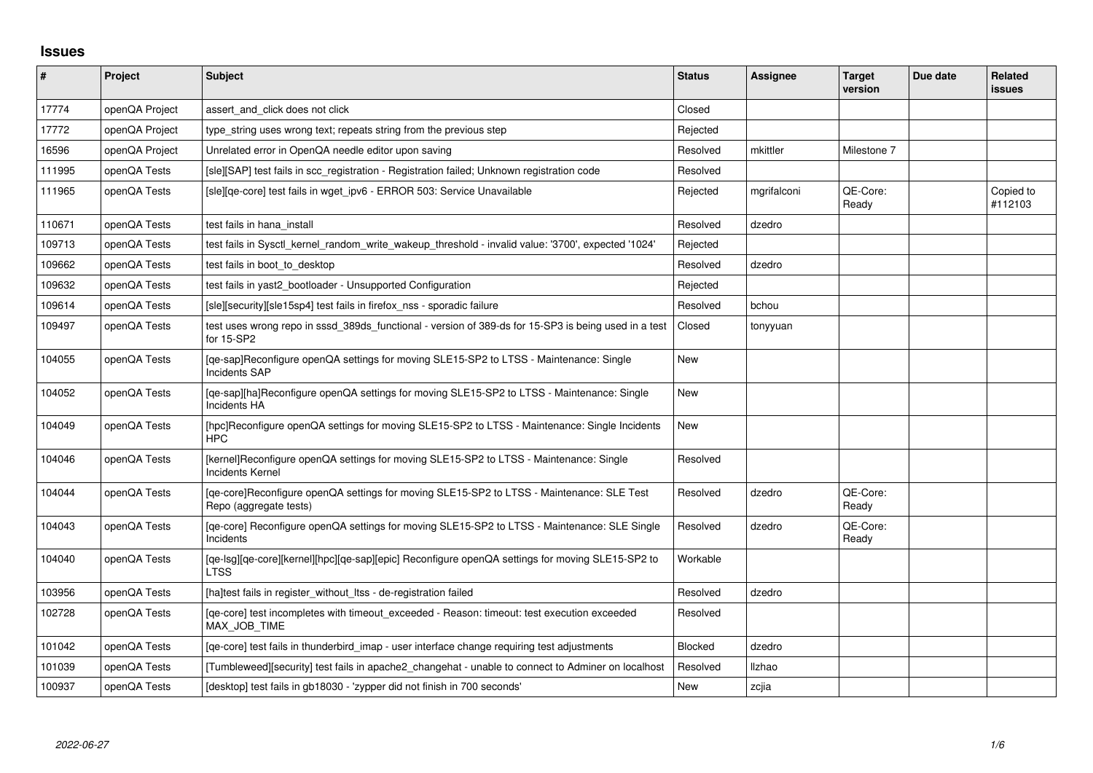## **Issues**

| $\vert$ # | Project        | Subject                                                                                                             | <b>Status</b> | Assignee    | <b>Target</b><br>version | Due date | Related<br><b>issues</b> |
|-----------|----------------|---------------------------------------------------------------------------------------------------------------------|---------------|-------------|--------------------------|----------|--------------------------|
| 17774     | openQA Project | assert and click does not click                                                                                     | Closed        |             |                          |          |                          |
| 17772     | openQA Project | type string uses wrong text; repeats string from the previous step                                                  | Rejected      |             |                          |          |                          |
| 16596     | openQA Project | Unrelated error in OpenQA needle editor upon saving                                                                 | Resolved      | mkittler    | Milestone 7              |          |                          |
| 111995    | openQA Tests   | [sle][SAP] test fails in scc_registration - Registration failed; Unknown registration code                          | Resolved      |             |                          |          |                          |
| 111965    | openQA Tests   | [sle][qe-core] test fails in wget_ipv6 - ERROR 503: Service Unavailable                                             | Rejected      | mgrifalconi | QE-Core:<br>Ready        |          | Copied to<br>#112103     |
| 110671    | openQA Tests   | test fails in hana install                                                                                          | Resolved      | dzedro      |                          |          |                          |
| 109713    | openQA Tests   | 'test fails in Sysctl kernel random write wakeup threshold - invalid value: '3700', expected '1024                  | Rejected      |             |                          |          |                          |
| 109662    | openQA Tests   | test fails in boot to desktop                                                                                       | Resolved      | dzedro      |                          |          |                          |
| 109632    | openQA Tests   | test fails in yast2_bootloader - Unsupported Configuration                                                          | Rejected      |             |                          |          |                          |
| 109614    | openQA Tests   | [sle][security][sle15sp4] test fails in firefox nss - sporadic failure                                              | Resolved      | bchou       |                          |          |                          |
| 109497    | openQA Tests   | test uses wrong repo in sssd_389ds_functional - version of 389-ds for 15-SP3 is being used in a test<br>for 15-SP2  | Closed        | tonyyuan    |                          |          |                          |
| 104055    | openQA Tests   | [qe-sap]Reconfigure openQA settings for moving SLE15-SP2 to LTSS - Maintenance: Single<br><b>Incidents SAP</b>      | New           |             |                          |          |                          |
| 104052    | openQA Tests   | [qe-sap][ha]Reconfigure openQA settings for moving SLE15-SP2 to LTSS - Maintenance: Single<br>Incidents HA          | <b>New</b>    |             |                          |          |                          |
| 104049    | openQA Tests   | [hpc]Reconfigure openQA settings for moving SLE15-SP2 to LTSS - Maintenance: Single Incidents<br>HPC                | <b>New</b>    |             |                          |          |                          |
| 104046    | openQA Tests   | [kernel]Reconfigure openQA settings for moving SLE15-SP2 to LTSS - Maintenance: Single<br><b>Incidents Kernel</b>   | Resolved      |             |                          |          |                          |
| 104044    | openQA Tests   | [qe-core]Reconfigure openQA settings for moving SLE15-SP2 to LTSS - Maintenance: SLE Test<br>Repo (aggregate tests) | Resolved      | dzedro      | QE-Core:<br>Ready        |          |                          |
| 104043    | openQA Tests   | [qe-core] Reconfigure openQA settings for moving SLE15-SP2 to LTSS - Maintenance: SLE Single<br>Incidents           | Resolved      | dzedro      | QE-Core:<br>Ready        |          |                          |
| 104040    | openQA Tests   | [qe-lsg][qe-core][kernel][hpc][qe-sap][epic] Reconfigure openQA settings for moving SLE15-SP2 to<br><b>LTSS</b>     | Workable      |             |                          |          |                          |
| 103956    | openQA Tests   | [ha]test fails in register_without_ltss - de-registration failed                                                    | Resolved      | dzedro      |                          |          |                          |
| 102728    | openQA Tests   | [qe-core] test incompletes with timeout_exceeded - Reason: timeout: test execution exceeded<br>MAX JOB TIME         | Resolved      |             |                          |          |                          |
| 101042    | openQA Tests   | [qe-core] test fails in thunderbird_imap - user interface change requiring test adjustments                         | Blocked       | dzedro      |                          |          |                          |
| 101039    | openQA Tests   | [Tumbleweed][security] test fails in apache2 changehat - unable to connect to Adminer on localhost                  | Resolved      | llzhao      |                          |          |                          |
| 100937    | openQA Tests   | [desktop] test fails in gb18030 - 'zypper did not finish in 700 seconds'                                            | <b>New</b>    | zcjia       |                          |          |                          |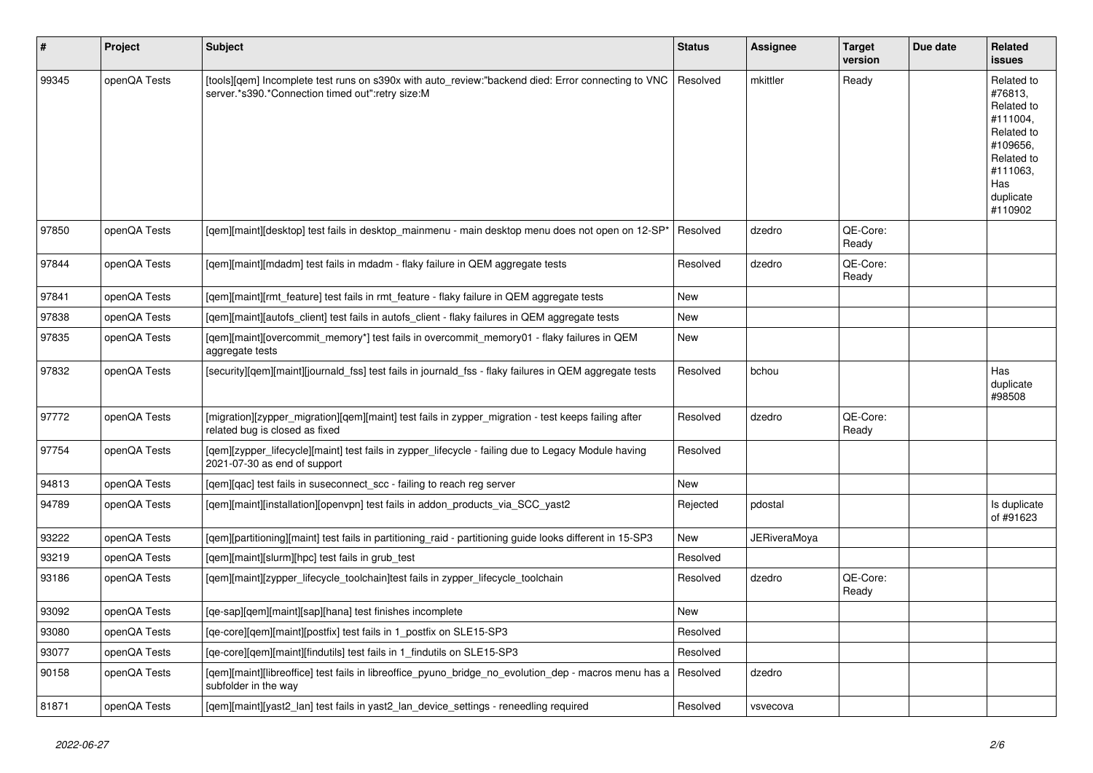| $\pmb{\sharp}$ | <b>Project</b> | <b>Subject</b>                                                                                                                                         | <b>Status</b> | Assignee     | Target<br>version | Due date | Related<br><b>issues</b>                                                                                                           |
|----------------|----------------|--------------------------------------------------------------------------------------------------------------------------------------------------------|---------------|--------------|-------------------|----------|------------------------------------------------------------------------------------------------------------------------------------|
| 99345          | openQA Tests   | [tools][qem] Incomplete test runs on s390x with auto_review:"backend died: Error connecting to VNC<br>server.*s390.*Connection timed out":retry size:M | Resolved      | mkittler     | Ready             |          | Related to<br>#76813,<br>Related to<br>#111004.<br>Related to<br>#109656,<br>Related to<br>#111063.<br>Has<br>duplicate<br>#110902 |
| 97850          | openQA Tests   | [gem][maint][desktop] test fails in desktop_mainmenu - main desktop menu does not open on 12-SP*                                                       | Resolved      | dzedro       | QE-Core:<br>Ready |          |                                                                                                                                    |
| 97844          | openQA Tests   | [gem][maint][mdadm] test fails in mdadm - flaky failure in QEM aggregate tests                                                                         | Resolved      | dzedro       | QE-Core:<br>Ready |          |                                                                                                                                    |
| 97841          | openQA Tests   | [gem][maint][rmt feature] test fails in rmt feature - flaky failure in QEM aggregate tests                                                             | <b>New</b>    |              |                   |          |                                                                                                                                    |
| 97838          | openQA Tests   | [qem][maint][autofs_client] test fails in autofs_client - flaky failures in QEM aggregate tests                                                        | <b>New</b>    |              |                   |          |                                                                                                                                    |
| 97835          | openQA Tests   | [gem][maint][overcommit_memory*] test fails in overcommit_memory01 - flaky failures in QEM<br>aggregate tests                                          | <b>New</b>    |              |                   |          |                                                                                                                                    |
| 97832          | openQA Tests   | [security][qem][maint][journald_fss] test fails in journald_fss - flaky failures in QEM aggregate tests                                                | Resolved      | bchou        |                   |          | Has<br>duplicate<br>#98508                                                                                                         |
| 97772          | openQA Tests   | [migration][zypper_migration][qem][maint] test fails in zypper_migration - test keeps failing after<br>related bug is closed as fixed                  | Resolved      | dzedro       | QE-Core:<br>Ready |          |                                                                                                                                    |
| 97754          | openQA Tests   | [gem][zypper lifecycle][maint] test fails in zypper lifecycle - failing due to Legacy Module having<br>2021-07-30 as end of support                    | Resolved      |              |                   |          |                                                                                                                                    |
| 94813          | openQA Tests   | [gem][gac] test fails in suseconnect scc - failing to reach reg server                                                                                 | <b>New</b>    |              |                   |          |                                                                                                                                    |
| 94789          | openQA Tests   | [qem][maint][installation][openvpn] test fails in addon_products_via_SCC_yast2                                                                         | Rejected      | pdostal      |                   |          | Is duplicate<br>of #91623                                                                                                          |
| 93222          | openQA Tests   | [gem][partitioning][maint] test fails in partitioning raid - partitioning guide looks different in 15-SP3                                              | New           | JERiveraMova |                   |          |                                                                                                                                    |
| 93219          | openQA Tests   | [gem][maint][slurm][hpc] test fails in grub test                                                                                                       | Resolved      |              |                   |          |                                                                                                                                    |
| 93186          | openQA Tests   | [gem][maint][zypper_lifecycle_toolchain]test fails in zypper_lifecycle_toolchain                                                                       | Resolved      | dzedro       | QE-Core:<br>Ready |          |                                                                                                                                    |
| 93092          | openQA Tests   | [ge-sap][gem][maint][sap][hana] test finishes incomplete                                                                                               | <b>New</b>    |              |                   |          |                                                                                                                                    |
| 93080          | openQA Tests   | [qe-core][qem][maint][postfix] test fails in 1_postfix on SLE15-SP3                                                                                    | Resolved      |              |                   |          |                                                                                                                                    |
| 93077          | openQA Tests   | [qe-core][qem][maint][findutils] test fails in 1_findutils on SLE15-SP3                                                                                | Resolved      |              |                   |          |                                                                                                                                    |
| 90158          | openQA Tests   | [qem][maint][libreoffice] test fails in libreoffice_pyuno_bridge_no_evolution_dep - macros menu has a<br>subfolder in the way                          | Resolved      | dzedro       |                   |          |                                                                                                                                    |
| 81871          | openQA Tests   | [gem][maint][yast2_lan] test fails in yast2_lan_device_settings - reneedling required                                                                  | Resolved      | vsvecova     |                   |          |                                                                                                                                    |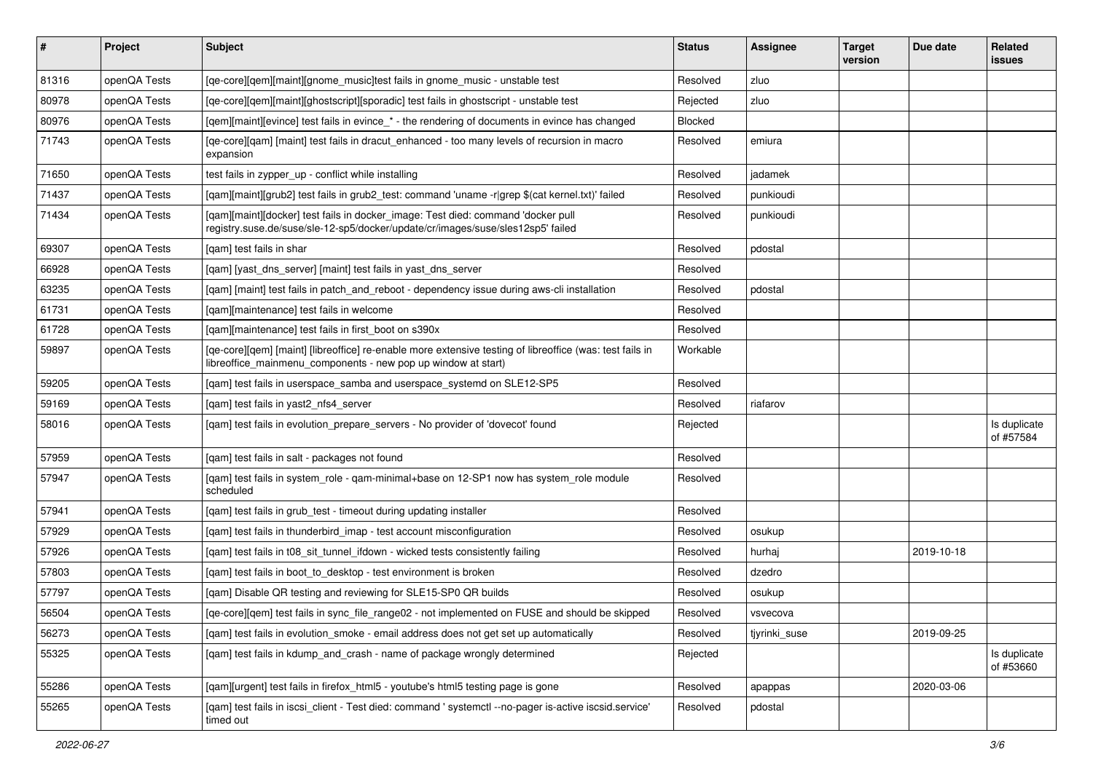| #     | Project      | Subject                                                                                                                                                                   | <b>Status</b> | Assignee      | <b>Target</b><br>version | Due date   | Related<br>issues         |
|-------|--------------|---------------------------------------------------------------------------------------------------------------------------------------------------------------------------|---------------|---------------|--------------------------|------------|---------------------------|
| 81316 | openQA Tests | [qe-core][qem][maint][gnome_music]test fails in gnome_music - unstable test                                                                                               | Resolved      | zluo          |                          |            |                           |
| 80978 | openQA Tests | [ge-core][gem][maint][ghostscript][sporadic] test fails in ghostscript - unstable test                                                                                    | Rejected      | zluo          |                          |            |                           |
| 80976 | openQA Tests | [qem][maint][evince] test fails in evince_* - the rendering of documents in evince has changed                                                                            | Blocked       |               |                          |            |                           |
| 71743 | openQA Tests | [qe-core][qam] [maint] test fails in dracut_enhanced - too many levels of recursion in macro<br>expansion                                                                 | Resolved      | emiura        |                          |            |                           |
| 71650 | openQA Tests | test fails in zypper_up - conflict while installing                                                                                                                       | Resolved      | jadamek       |                          |            |                           |
| 71437 | openQA Tests | [gam][maint][grub2] test fails in grub2 test: command 'uname -r grep \$(cat kernel.txt)' failed                                                                           | Resolved      | punkioudi     |                          |            |                           |
| 71434 | openQA Tests | [qam][maint][docker] test fails in docker_image: Test died: command 'docker pull<br>registry.suse.de/suse/sle-12-sp5/docker/update/cr/images/suse/sles12sp5' failed       | Resolved      | punkioudi     |                          |            |                           |
| 69307 | openQA Tests | [gam] test fails in shar                                                                                                                                                  | Resolved      | pdostal       |                          |            |                           |
| 66928 | openQA Tests | [qam] [yast_dns_server] [maint] test fails in yast_dns_server                                                                                                             | Resolved      |               |                          |            |                           |
| 63235 | openQA Tests | [gam] [maint] test fails in patch_and_reboot - dependency issue during aws-cli installation                                                                               | Resolved      | pdostal       |                          |            |                           |
| 61731 | openQA Tests | [gam][maintenance] test fails in welcome                                                                                                                                  | Resolved      |               |                          |            |                           |
| 61728 | openQA Tests | [qam][maintenance] test fails in first_boot on s390x                                                                                                                      | Resolved      |               |                          |            |                           |
| 59897 | openQA Tests | [qe-core][qem] [maint] [libreoffice] re-enable more extensive testing of libreoffice (was: test fails in<br>libreoffice_mainmenu_components - new pop up window at start) | Workable      |               |                          |            |                           |
| 59205 | openQA Tests | [qam] test fails in userspace_samba and userspace_systemd on SLE12-SP5                                                                                                    | Resolved      |               |                          |            |                           |
| 59169 | openQA Tests | [gam] test fails in yast2 nfs4 server                                                                                                                                     | Resolved      | riafarov      |                          |            |                           |
| 58016 | openQA Tests | [qam] test fails in evolution_prepare_servers - No provider of 'dovecot' found                                                                                            | Rejected      |               |                          |            | Is duplicate<br>of #57584 |
| 57959 | openQA Tests | [gam] test fails in salt - packages not found                                                                                                                             | Resolved      |               |                          |            |                           |
| 57947 | openQA Tests | [qam] test fails in system_role - qam-minimal+base on 12-SP1 now has system_role module<br>scheduled                                                                      | Resolved      |               |                          |            |                           |
| 57941 | openQA Tests | [qam] test fails in grub_test - timeout during updating installer                                                                                                         | Resolved      |               |                          |            |                           |
| 57929 | openQA Tests | [qam] test fails in thunderbird_imap - test account misconfiguration                                                                                                      | Resolved      | osukup        |                          |            |                           |
| 57926 | openQA Tests | [gam] test fails in t08 sit tunnel ifdown - wicked tests consistently failing                                                                                             | Resolved      | hurhaj        |                          | 2019-10-18 |                           |
| 57803 | openQA Tests | [gam] test fails in boot to desktop - test environment is broken                                                                                                          | Resolved      | dzedro        |                          |            |                           |
| 57797 | openQA Tests | [gam] Disable QR testing and reviewing for SLE15-SP0 QR builds                                                                                                            | Resolved      | osukup        |                          |            |                           |
| 56504 | openQA Tests | [ge-core][gem] test fails in sync file range02 - not implemented on FUSE and should be skipped                                                                            | Resolved      | vsvecova      |                          |            |                           |
| 56273 | openQA Tests | [gam] test fails in evolution_smoke - email address does not get set up automatically                                                                                     | Resolved      | tjyrinki_suse |                          | 2019-09-25 |                           |
| 55325 | openQA Tests | [qam] test fails in kdump_and_crash - name of package wrongly determined                                                                                                  | Rejected      |               |                          |            | Is duplicate<br>of #53660 |
| 55286 | openQA Tests | [qam][urgent] test fails in firefox_html5 - youtube's html5 testing page is gone                                                                                          | Resolved      | apappas       |                          | 2020-03-06 |                           |
| 55265 | openQA Tests | [gam] test fails in iscsi_client - Test died: command ' systemctl --no-pager is-active iscsid.service'<br>timed out                                                       | Resolved      | pdostal       |                          |            |                           |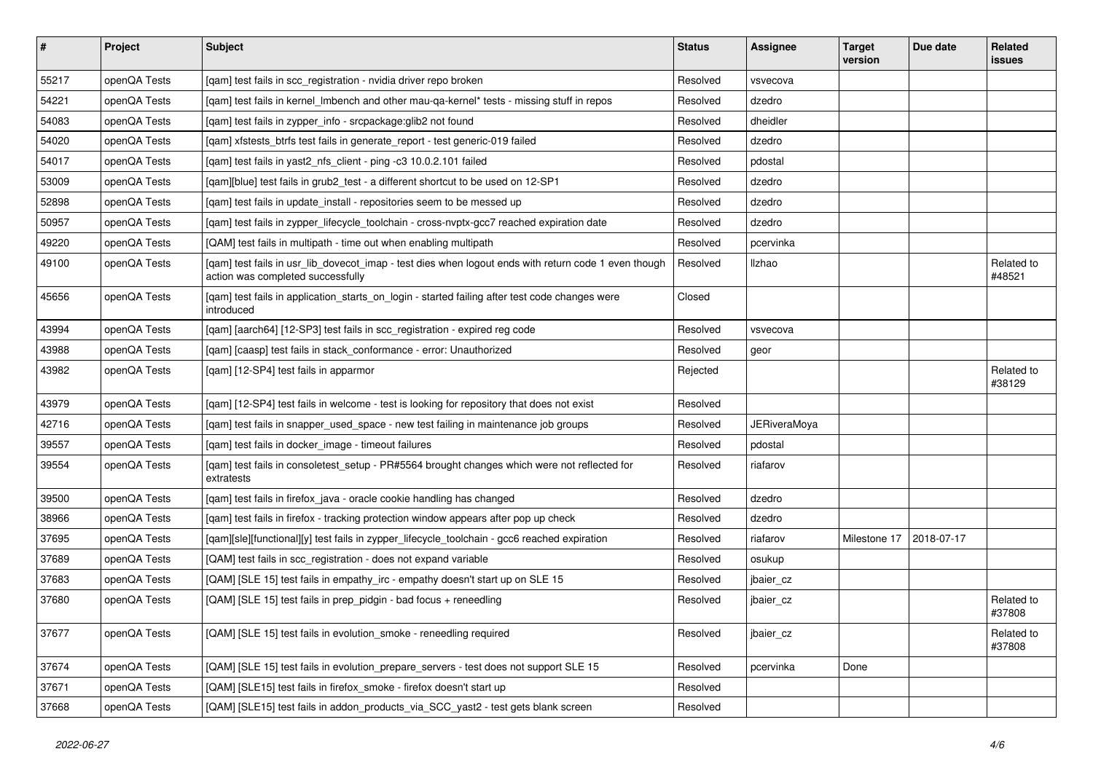| $\vert$ # | Project      | <b>Subject</b>                                                                                                                            | <b>Status</b> | <b>Assignee</b>     | <b>Target</b><br>version | Due date   | Related<br><b>issues</b> |
|-----------|--------------|-------------------------------------------------------------------------------------------------------------------------------------------|---------------|---------------------|--------------------------|------------|--------------------------|
| 55217     | openQA Tests | [qam] test fails in scc_registration - nvidia driver repo broken                                                                          | Resolved      | vsvecova            |                          |            |                          |
| 54221     | openQA Tests | [gam] test fails in kernel Imbench and other mau-ga-kernel* tests - missing stuff in repos                                                | Resolved      | dzedro              |                          |            |                          |
| 54083     | openQA Tests | [qam] test fails in zypper_info - srcpackage:glib2 not found                                                                              | Resolved      | dheidler            |                          |            |                          |
| 54020     | openQA Tests | [qam] xfstests_btrfs test fails in generate_report - test generic-019 failed                                                              | Resolved      | dzedro              |                          |            |                          |
| 54017     | openQA Tests | [gam] test fails in yast2 nfs client - ping -c3 10.0.2.101 failed                                                                         | Resolved      | pdostal             |                          |            |                          |
| 53009     | openQA Tests | [gam][blue] test fails in grub2 test - a different shortcut to be used on 12-SP1                                                          | Resolved      | dzedro              |                          |            |                          |
| 52898     | openQA Tests | [gam] test fails in update install - repositories seem to be messed up                                                                    | Resolved      | dzedro              |                          |            |                          |
| 50957     | openQA Tests | [qam] test fails in zypper_lifecycle_toolchain - cross-nvptx-gcc7 reached expiration date                                                 | Resolved      | dzedro              |                          |            |                          |
| 49220     | openQA Tests | [QAM] test fails in multipath - time out when enabling multipath                                                                          | Resolved      | pcervinka           |                          |            |                          |
| 49100     | openQA Tests | [qam] test fails in usr_lib_dovecot_imap - test dies when logout ends with return code 1 even though<br>action was completed successfully | Resolved      | Ilzhao              |                          |            | Related to<br>#48521     |
| 45656     | openQA Tests | [qam] test fails in application_starts_on_login - started failing after test code changes were<br>introduced                              | Closed        |                     |                          |            |                          |
| 43994     | openQA Tests | [qam] [aarch64] [12-SP3] test fails in scc_registration - expired reg code                                                                | Resolved      | vsvecova            |                          |            |                          |
| 43988     | openQA Tests | [qam] [caasp] test fails in stack_conformance - error: Unauthorized                                                                       | Resolved      | geor                |                          |            |                          |
| 43982     | openQA Tests | [qam] [12-SP4] test fails in apparmor                                                                                                     | Rejected      |                     |                          |            | Related to<br>#38129     |
| 43979     | openQA Tests | [qam] [12-SP4] test fails in welcome - test is looking for repository that does not exist                                                 | Resolved      |                     |                          |            |                          |
| 42716     | openQA Tests | [gam] test fails in snapper used space - new test failing in maintenance job groups                                                       | Resolved      | <b>JERiveraMoya</b> |                          |            |                          |
| 39557     | openQA Tests | [qam] test fails in docker_image - timeout failures                                                                                       | Resolved      | pdostal             |                          |            |                          |
| 39554     | openQA Tests | [qam] test fails in consoletest_setup - PR#5564 brought changes which were not reflected for<br>extratests                                | Resolved      | riafarov            |                          |            |                          |
| 39500     | openQA Tests | [qam] test fails in firefox_java - oracle cookie handling has changed                                                                     | Resolved      | dzedro              |                          |            |                          |
| 38966     | openQA Tests | [qam] test fails in firefox - tracking protection window appears after pop up check                                                       | Resolved      | dzedro              |                          |            |                          |
| 37695     | openQA Tests | [qam][sle][functional][y] test fails in zypper_lifecycle_toolchain - gcc6 reached expiration                                              | Resolved      | riafarov            | Milestone 17             | 2018-07-17 |                          |
| 37689     | openQA Tests | [QAM] test fails in scc_registration - does not expand variable                                                                           | Resolved      | osukup              |                          |            |                          |
| 37683     | openQA Tests | [QAM] [SLE 15] test fails in empathy_irc - empathy doesn't start up on SLE 15                                                             | Resolved      | jbaier cz           |                          |            |                          |
| 37680     | openQA Tests | [QAM] [SLE 15] test fails in prep_pidgin - bad focus + reneedling                                                                         | Resolved      | jbaier cz           |                          |            | Related to<br>#37808     |
| 37677     | openQA Tests | [QAM] [SLE 15] test fails in evolution smoke - reneedling required                                                                        | Resolved      | jbaier_cz           |                          |            | Related to<br>#37808     |
| 37674     | openQA Tests | [QAM] [SLE 15] test fails in evolution_prepare_servers - test does not support SLE 15                                                     | Resolved      | pcervinka           | Done                     |            |                          |
| 37671     | openQA Tests | [QAM] [SLE15] test fails in firefox_smoke - firefox doesn't start up                                                                      | Resolved      |                     |                          |            |                          |
| 37668     | openQA Tests | [QAM] [SLE15] test fails in addon products via SCC yast2 - test gets blank screen                                                         | Resolved      |                     |                          |            |                          |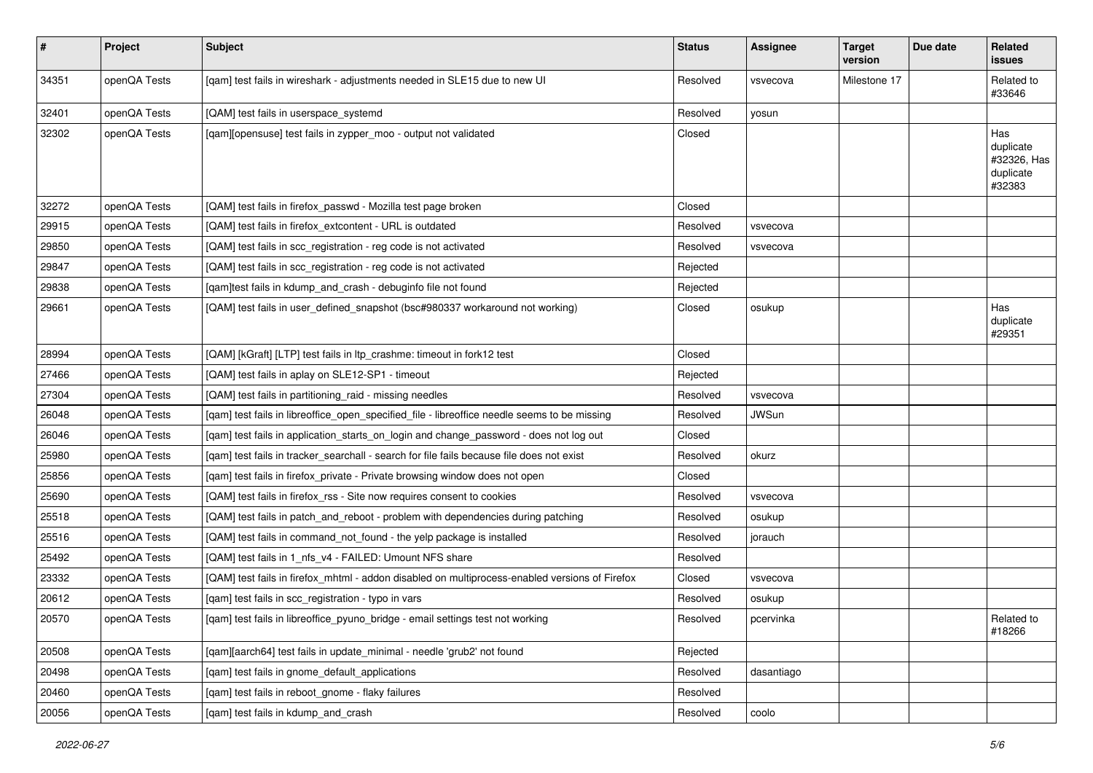| #     | Project      | <b>Subject</b>                                                                                 | <b>Status</b> | <b>Assignee</b> | <b>Target</b><br>version | Due date | Related<br><b>issues</b>                               |
|-------|--------------|------------------------------------------------------------------------------------------------|---------------|-----------------|--------------------------|----------|--------------------------------------------------------|
| 34351 | openQA Tests | [qam] test fails in wireshark - adjustments needed in SLE15 due to new UI                      | Resolved      | vsvecova        | Milestone 17             |          | Related to<br>#33646                                   |
| 32401 | openQA Tests | [QAM] test fails in userspace_systemd                                                          | Resolved      | yosun           |                          |          |                                                        |
| 32302 | openQA Tests | [qam][opensuse] test fails in zypper_moo - output not validated                                | Closed        |                 |                          |          | Has<br>duplicate<br>#32326, Has<br>duplicate<br>#32383 |
| 32272 | openQA Tests | [QAM] test fails in firefox_passwd - Mozilla test page broken                                  | Closed        |                 |                          |          |                                                        |
| 29915 | openQA Tests | [QAM] test fails in firefox_extcontent - URL is outdated                                       | Resolved      | vsvecova        |                          |          |                                                        |
| 29850 | openQA Tests | [QAM] test fails in scc_registration - reg code is not activated                               | Resolved      | vsvecova        |                          |          |                                                        |
| 29847 | openQA Tests | [QAM] test fails in scc_registration - reg code is not activated                               | Rejected      |                 |                          |          |                                                        |
| 29838 | openQA Tests | [qam]test fails in kdump_and_crash - debuginfo file not found                                  | Rejected      |                 |                          |          |                                                        |
| 29661 | openQA Tests | [QAM] test fails in user_defined_snapshot (bsc#980337 workaround not working)                  | Closed        | osukup          |                          |          | Has<br>duplicate<br>#29351                             |
| 28994 | openQA Tests | [QAM] [kGraft] [LTP] test fails in ltp_crashme: timeout in fork12 test                         | Closed        |                 |                          |          |                                                        |
| 27466 | openQA Tests | [QAM] test fails in aplay on SLE12-SP1 - timeout                                               | Rejected      |                 |                          |          |                                                        |
| 27304 | openQA Tests | [QAM] test fails in partitioning raid - missing needles                                        | Resolved      | vsvecova        |                          |          |                                                        |
| 26048 | openQA Tests | [qam] test fails in libreoffice_open_specified_file - libreoffice needle seems to be missing   | Resolved      | <b>JWSun</b>    |                          |          |                                                        |
| 26046 | openQA Tests | [qam] test fails in application_starts_on_login and change_password - does not log out         | Closed        |                 |                          |          |                                                        |
| 25980 | openQA Tests | [qam] test fails in tracker_searchall - search for file fails because file does not exist      | Resolved      | okurz           |                          |          |                                                        |
| 25856 | openQA Tests | [qam] test fails in firefox_private - Private browsing window does not open                    | Closed        |                 |                          |          |                                                        |
| 25690 | openQA Tests | [QAM] test fails in firefox_rss - Site now requires consent to cookies                         | Resolved      | vsvecova        |                          |          |                                                        |
| 25518 | openQA Tests | [QAM] test fails in patch_and_reboot - problem with dependencies during patching               | Resolved      | osukup          |                          |          |                                                        |
| 25516 | openQA Tests | [QAM] test fails in command not found - the yelp package is installed                          | Resolved      | jorauch         |                          |          |                                                        |
| 25492 | openQA Tests | [QAM] test fails in 1_nfs_v4 - FAILED: Umount NFS share                                        | Resolved      |                 |                          |          |                                                        |
| 23332 | openQA Tests | [QAM] test fails in firefox_mhtml - addon disabled on multiprocess-enabled versions of Firefox | Closed        | vsvecova        |                          |          |                                                        |
| 20612 | openQA Tests | [qam] test fails in scc_registration - typo in vars                                            | Resolved      | osukup          |                          |          |                                                        |
| 20570 | openQA Tests | [qam] test fails in libreoffice_pyuno_bridge - email settings test not working                 | Resolved      | pcervinka       |                          |          | Related to<br>#18266                                   |
| 20508 | openQA Tests | [qam][aarch64] test fails in update_minimal - needle 'grub2' not found                         | Rejected      |                 |                          |          |                                                        |
| 20498 | openQA Tests | [qam] test fails in gnome_default_applications                                                 | Resolved      | dasantiago      |                          |          |                                                        |
| 20460 | openQA Tests | [qam] test fails in reboot_gnome - flaky failures                                              | Resolved      |                 |                          |          |                                                        |
| 20056 | openQA Tests | [qam] test fails in kdump_and_crash                                                            | Resolved      | coolo           |                          |          |                                                        |